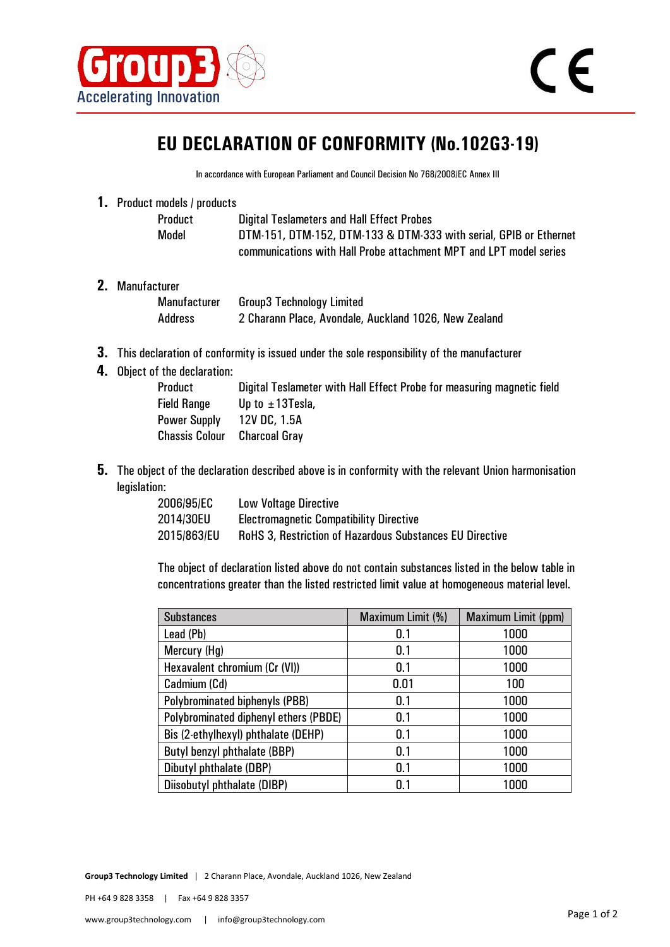

## **EU DECLARATION OF CONFORMITY (No.102G3-19)**

In accordance with European Parliament and Council Decision No 768/2008/EC Annex III

**1.** Product models / products

| Product | <b>Digital Teslameters and Hall Effect Probes</b>                  |
|---------|--------------------------------------------------------------------|
| Model   | DTM-151, DTM-152, DTM-133 & DTM-333 with serial, GPIB or Ethernet  |
|         | communications with Hall Probe attachment MPT and LPT model series |

**2.** Manufacturer

| Manufacturer | <b>Group3 Technology Limited</b>                      |
|--------------|-------------------------------------------------------|
| Address      | 2 Charann Place, Avondale, Auckland 1026, New Zealand |

- **3.** This declaration of conformity is issued under the sole responsibility of the manufacturer
- **4.** Object of the declaration:

| Product               | Digital Teslameter with Hall Effect Probe for measuring magnetic field |
|-----------------------|------------------------------------------------------------------------|
| <b>Field Range</b>    | Up to $\pm$ 13Tesla,                                                   |
| Power Supply          | 12V DC. 1.5A                                                           |
| <b>Chassis Colour</b> | <b>Charcoal Gray</b>                                                   |
|                       |                                                                        |

**5.** The object of the declaration described above is in conformity with the relevant Union harmonisation legislation:

| 2006/95/EC  | <b>Low Voltage Directive</b>                                    |
|-------------|-----------------------------------------------------------------|
| 2014/30EU   | <b>Electromagnetic Compatibility Directive</b>                  |
| 2015/863/EU | <b>RoHS 3, Restriction of Hazardous Substances EU Directive</b> |

The object of declaration listed above do not contain substances listed in the below table in concentrations greater than the listed restricted limit value at homogeneous material level.

| <b>Substances</b>                     | Maximum Limit (%) | Maximum Limit (ppm) |
|---------------------------------------|-------------------|---------------------|
| Lead (Pb)                             | 0.1               | 1000                |
| Mercury (Hg)                          | 0.1               | 1000                |
| Hexavalent chromium (Cr (VI))         | 0.1               | 1000                |
| Cadmium (Cd)                          | 0.01              | 100                 |
| Polybrominated biphenyls (PBB)        | 0.1               | 1000                |
| Polybrominated diphenyl ethers (PBDE) | 0.1               | 1000                |
| Bis (2-ethylhexyl) phthalate (DEHP)   | 0.1               | 1000                |
| Butyl benzyl phthalate (BBP)          | 0.1               | 1000                |
| Dibutyl phthalate (DBP)               | 0.1               | 1000                |
| Diisobutyl phthalate (DIBP)           | 0.1               | 1000                |

**Group3 Technology Limited** | 2 Charann Place, Avondale, Auckland 1026, New Zealand

PH +64 9 828 3358 | Fax +64 9 828 3357